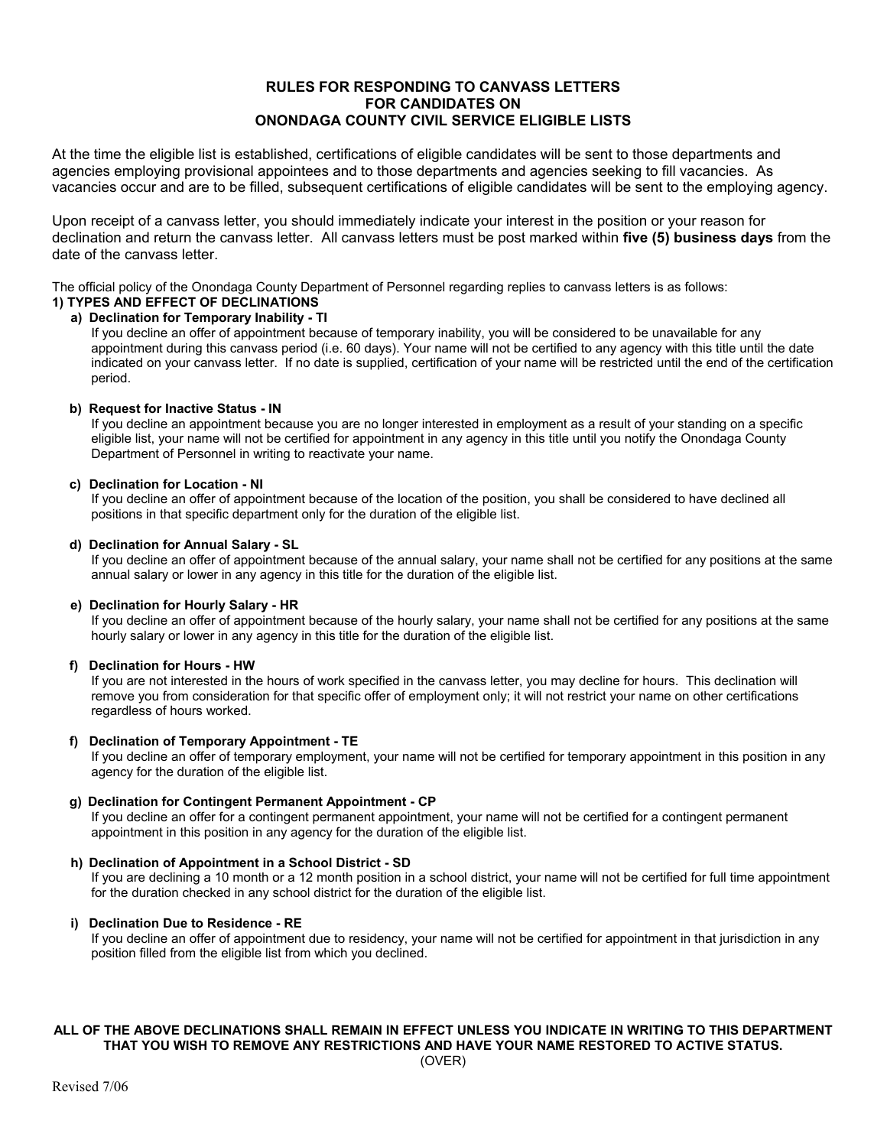# **RULES FOR RESPONDING TO CANVASS LETTERS FOR CANDIDATES ON ONONDAGA COUNTY CIVIL SERVICE ELIGIBLE LISTS**

At the time the eligible list is established, certifications of eligible candidates will be sent to those departments and agencies employing provisional appointees and to those departments and agencies seeking to fill vacancies. As vacancies occur and are to be filled, subsequent certifications of eligible candidates will be sent to the employing agency.

Upon receipt of a canvass letter, you should immediately indicate your interest in the position or your reason for declination and return the canvass letter. All canvass letters must be post marked within **five (5) business days** from the date of the canvass letter.

The official policy of the Onondaga County Department of Personnel regarding replies to canvass letters is as follows:

#### **1) TYPES AND EFFECT OF DECLINATIONS a) Declination for Temporary Inability - TI**

If you decline an offer of appointment because of temporary inability, you will be considered to be unavailable for any appointment during this canvass period (i.e. 60 days). Your name will not be certified to any agency with this title until the date indicated on your canvass letter. If no date is supplied, certification of your name will be restricted until the end of the certification period.

# **b) Request for Inactive Status - IN**

If you decline an appointment because you are no longer interested in employment as a result of your standing on a specific eligible list, your name will not be certified for appointment in any agency in this title until you notify the Onondaga County Department of Personnel in writing to reactivate your name.

## **c) Declination for Location - NI**

If you decline an offer of appointment because of the location of the position, you shall be considered to have declined all positions in that specific department only for the duration of the eligible list.

## **d) Declination for Annual Salary - SL**

If you decline an offer of appointment because of the annual salary, your name shall not be certified for any positions at the same annual salary or lower in any agency in this title for the duration of the eligible list.

# **e) Declination for Hourly Salary - HR**

If you decline an offer of appointment because of the hourly salary, your name shall not be certified for any positions at the same hourly salary or lower in any agency in this title for the duration of the eligible list.

## **f) Declination for Hours - HW**

If you are not interested in the hours of work specified in the canvass letter, you may decline for hours. This declination will remove you from consideration for that specific offer of employment only; it will not restrict your name on other certifications regardless of hours worked.

## **f) Declination of Temporary Appointment - TE**

If you decline an offer of temporary employment, your name will not be certified for temporary appointment in this position in any agency for the duration of the eligible list.

## **g) Declination for Contingent Permanent Appointment - CP**

If you decline an offer for a contingent permanent appointment, your name will not be certified for a contingent permanent appointment in this position in any agency for the duration of the eligible list.

## **h) Declination of Appointment in a School District - SD**

If you are declining a 10 month or a 12 month position in a school district, your name will not be certified for full time appointment for the duration checked in any school district for the duration of the eligible list.

# **i) Declination Due to Residence - RE**

If you decline an offer of appointment due to residency, your name will not be certified for appointment in that jurisdiction in any position filled from the eligible list from which you declined.

# **ALL OF THE ABOVE DECLINATIONS SHALL REMAIN IN EFFECT UNLESS YOU INDICATE IN WRITING TO THIS DEPARTMENT THAT YOU WISH TO REMOVE ANY RESTRICTIONS AND HAVE YOUR NAME RESTORED TO ACTIVE STATUS.**